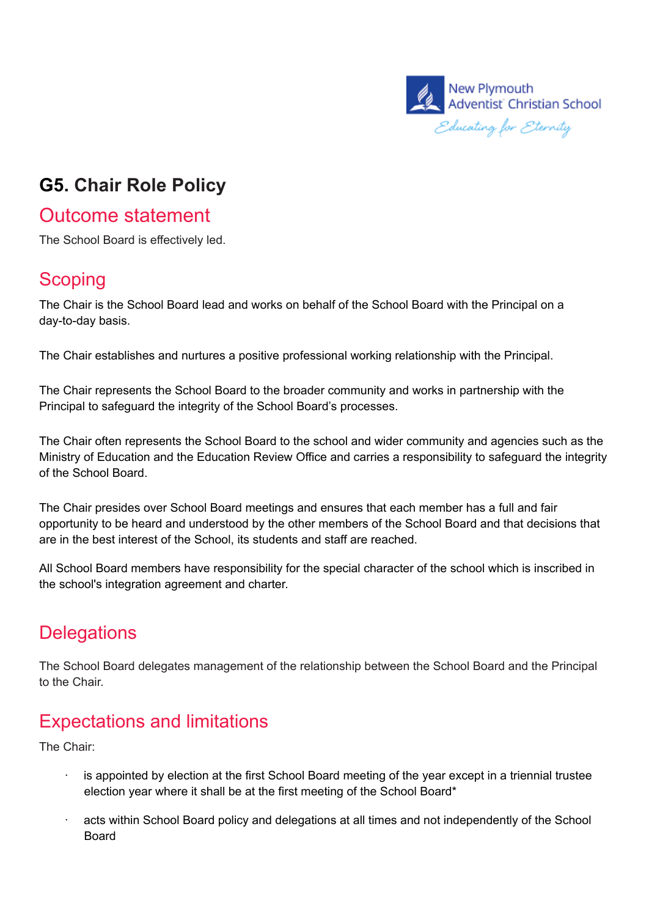

## **G5. Chair Role Policy**

### Outcome statement

The School Board is effectively led.

#### **Scoping**

The Chair is the School Board lead and works on behalf of the School Board with the Principal on a day-to-day basis.

The Chair establishes and nurtures a positive professional working relationship with the Principal.

The Chair represents the School Board to the broader community and works in partnership with the Principal to safeguard the integrity of the School Board's processes.

The Chair often represents the School Board to the school and wider community and agencies such as the Ministry of Education and the Education Review Office and carries a responsibility to safeguard the integrity of the School Board.

The Chair presides over School Board meetings and ensures that each member has a full and fair opportunity to be heard and understood by the other members of the School Board and that decisions that are in the best interest of the School, its students and staff are reached.

All School Board members have responsibility for the special character of the school which is inscribed in the school's integration agreement and charter.

#### **Delegations**

The School Board delegates management of the relationship between the School Board and the Principal to the Chair.

## Expectations and limitations

The Chair:

- is appointed by election at the first School Board meeting of the year except in a triennial trustee election year where it shall be at the first meeting of the School Board\*
- acts within School Board policy and delegations at all times and not independently of the School Board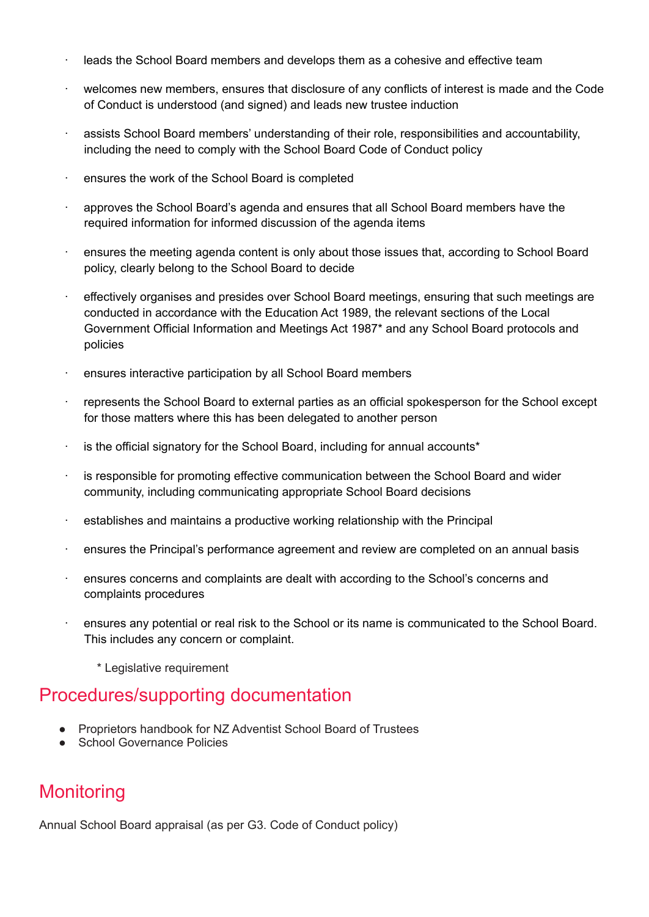- leads the School Board members and develops them as a cohesive and effective team
- welcomes new members, ensures that disclosure of any conflicts of interest is made and the Code of Conduct is understood (and signed) and leads new trustee induction
- · assists School Board members' understanding of their role, responsibilities and accountability, including the need to comply with the School Board Code of Conduct policy
- · ensures the work of the School Board is completed
- · approves the School Board's agenda and ensures that all School Board members have the required information for informed discussion of the agenda items
- · ensures the meeting agenda content is only about those issues that, according to School Board policy, clearly belong to the School Board to decide
- · effectively organises and presides over School Board meetings, ensuring that such meetings are conducted in accordance with the Education Act 1989, the relevant sections of the Local Government Official Information and Meetings Act 1987\* and any School Board protocols and policies
- · ensures interactive participation by all School Board members
- · represents the School Board to external parties as an official spokesperson for the School except for those matters where this has been delegated to another person
- $\cdot$  is the official signatory for the School Board, including for annual accounts<sup>\*</sup>
- is responsible for promoting effective communication between the School Board and wider community, including communicating appropriate School Board decisions
- · establishes and maintains a productive working relationship with the Principal
- · ensures the Principal's performance agreement and review are completed on an annual basis
- · ensures concerns and complaints are dealt with according to the School's concerns and complaints procedures
- · ensures any potential or real risk to the School or its name is communicated to the School Board. This includes any concern or complaint.
	- \* Legislative requirement

#### Procedures/supporting documentation

- Proprietors handbook for NZ Adventist School Board of Trustees
- **School Governance Policies**

#### **Monitoring**

Annual School Board appraisal (as per G3. Code of Conduct policy)